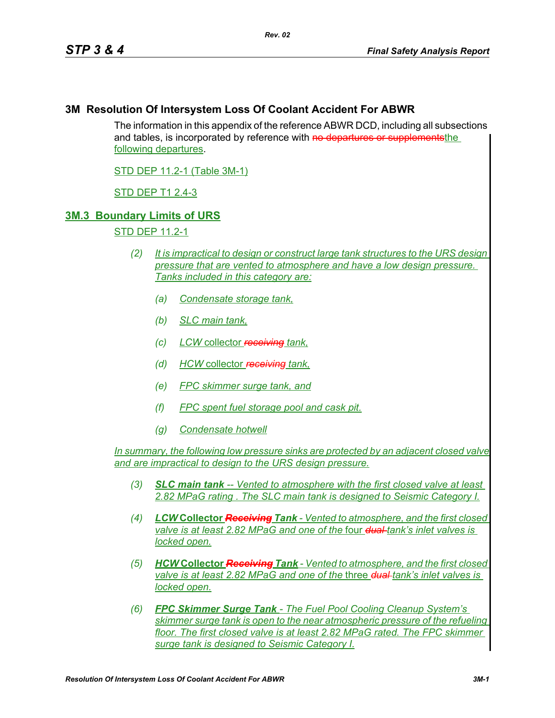### **3M Resolution Of Intersystem Loss Of Coolant Accident For ABWR**

The information in this appendix of the reference ABWR DCD, including all subsections and tables, is incorporated by reference with no departures or supplements the following departures.

STD DEP 11.2-1 (Table 3M-1)

STD DEP T1 2.4-3

### **3M.3 Boundary Limits of URS**

STD DEP 11.2-1

- *(2) It is impractical to design or construct large tank structures to the URS design pressure that are vented to atmosphere and have a low design pressure. Tanks included in this category are:*
	- *(a) Condensate storage tank,*
	- *(b) SLC main tank,*
	- *(c) LCW* collector *receiving tank,*
	- *(d) HCW* collector *receiving tank,*
	- *(e) FPC skimmer surge tank, and*
	- *(f) FPC spent fuel storage pool and cask pit.*
	- *(g) Condensate hotwell*

*In summary, the following low pressure sinks are protected by an adjacent closed valve and are impractical to design to the URS design pressure.*

- *(3) SLC main tank -- Vented to atmosphere with the first closed valve at least 2.82 MPaG rating . The SLC main tank is designed to Seismic Category I.*
- *(4) LCW* **Collector** *Receiving Tank Vented to atmosphere, and the first closed valve is at least 2.82 MPaG and one of the* four *dual tank's inlet valves is locked open.*
- *(5) HCW* **Collector** *Receiving Tank Vented to atmosphere, and the first closed valve is at least 2.82 MPaG and one of the* three *dual tank's inlet valves is locked open.*
- *(6) FPC Skimmer Surge Tank The Fuel Pool Cooling Cleanup System's skimmer surge tank is open to the near atmospheric pressure of the refueling floor. The first closed valve is at least 2.82 MPaG rated. The FPC skimmer surge tank is designed to Seismic Category I.*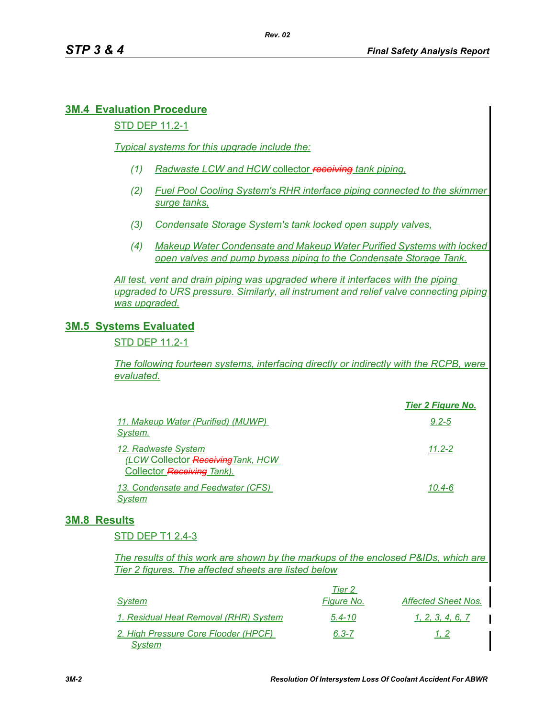# **3M.4 Evaluation Procedure**

#### STD DEP 11.2-1

*Typical systems for this upgrade include the:*

- *(1) Radwaste LCW and HCW* collector *receiving tank piping,*
- *(2) Fuel Pool Cooling System's RHR interface piping connected to the skimmer surge tanks,*
- *(3) Condensate Storage System's tank locked open supply valves,*
- *(4) Makeup Water Condensate and Makeup Water Purified Systems with locked open valves and pump bypass piping to the Condensate Storage Tank.*

*All test, vent and drain piping was upgraded where it interfaces with the piping upgraded to URS pressure. Similarly, all instrument and relief valve connecting piping was upgraded.*

## **3M.5 Systems Evaluated**

STD DEP 11.2-1

*The following fourteen systems, interfacing directly or indirectly with the RCPB, were evaluated.*

|                                                                                         | <b>Tier 2 Figure No.</b> |
|-----------------------------------------------------------------------------------------|--------------------------|
| 11. Makeup Water (Purified) (MUWP)<br>System.                                           | $9.2 - 5$                |
| 12. Radwaste System<br>(LCW Collector Receiving Tank, HCW<br>Collector Receiving Tank). | $11.2 - 2$               |
| 13. Condensate and Feedwater (CFS)<br>System                                            | 10.4-6                   |

## **3M.8 Results**

STD DEP T1 2.4-3

*The results of this work are shown by the markups of the enclosed P&IDs, which are Tier 2 figures. The affected sheets are listed below*

|                                                | Tier 2     |                            |
|------------------------------------------------|------------|----------------------------|
| System                                         | Figure No. | <b>Affected Sheet Nos.</b> |
| 1. Residual Heat Removal (RHR) System          | $5.4 - 10$ | 1. 2. 3. 4. 6. 7           |
| 2. High Pressure Core Flooder (HPCF)<br>System | $6.3 - 7$  | 1, 2                       |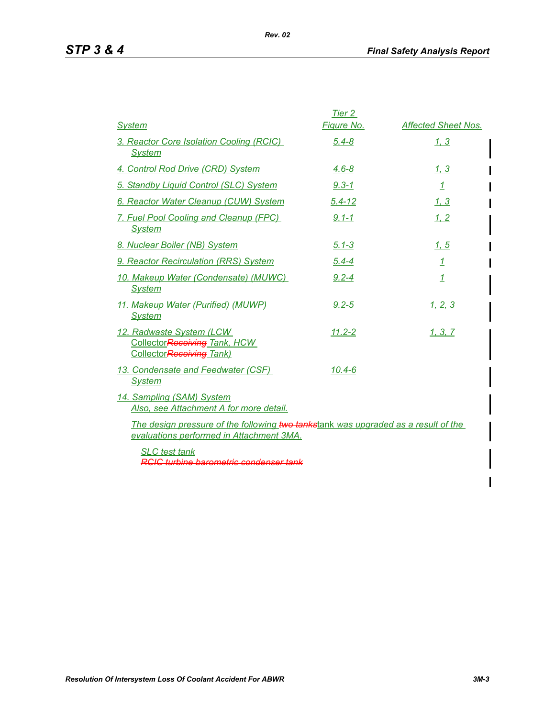|                                                                                                                                | Tier 2       |                            |
|--------------------------------------------------------------------------------------------------------------------------------|--------------|----------------------------|
| <b>System</b>                                                                                                                  | Figure No.   | <b>Affected Sheet Nos.</b> |
| 3. Reactor Core Isolation Cooling (RCIC)<br><b>System</b>                                                                      | $5.4 - 8$    | 1.3                        |
| 4. Control Rod Drive (CRD) System                                                                                              | $4.6 - 8$    | <u>1, 3</u>                |
| <u>5. Standby Liquid Control (SLC) System</u>                                                                                  | $9.3 - 1$    | $\mathbf{1}$               |
| 6. Reactor Water Cleanup (CUW) System                                                                                          | $5.4 - 12$   | <u>1, 3</u>                |
| 7. Fuel Pool Cooling and Cleanup (FPC)<br><b>System</b>                                                                        | $9.1 - 1$    | 1, 2                       |
| 8. Nuclear Boiler (NB) System                                                                                                  | <u>5.1-3</u> | 1.5                        |
| 9. Reactor Recirculation (RRS) System                                                                                          | $5.4 - 4$    | $\overline{1}$             |
| 10. Makeup Water (Condensate) (MUWC)<br><b>System</b>                                                                          | $9.2 - 4$    | $\overline{1}$             |
| 11. Makeup Water (Purified) (MUWP)<br><b>System</b>                                                                            | $9.2 - 5$    | 1, 2, 3                    |
| 12. Radwaste System (LCW)<br>CollectorReceiving Tank, HCW<br>CollectorReceiving Tank)                                          | $11.2 - 2$   | 1, 3, 7                    |
| 13. Condensate and Feedwater (CSF)<br><b>System</b>                                                                            | $10.4 - 6$   |                            |
| 14. Sampling (SAM) System<br>Also, see Attachment A for more detail.                                                           |              |                            |
| The design pressure of the following two tankstank was upgraded as a result of the<br>evaluations performed in Attachment 3MA. |              |                            |

*Rev. 02*

*SLC test tank RCIC turbine barometric condenser tank*